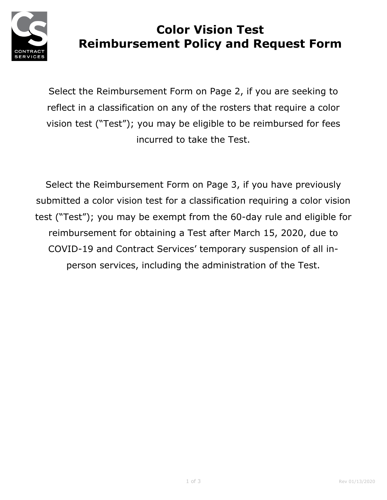

# **Color Vision Test Reimbursement Policy and Request Form**

Select the Reimbursement Form on Page 2, if you are seeking to reflect in a classification on any of the rosters that require a color vision test ("Test"); you may be eligible to be reimbursed for fees incurred to take the Test.

Select the Reimbursement Form on Page 3, if you have previously submitted a color vision test for a classification requiring a color vision test ("Test"); you may be exempt from the 60-day rule and eligible for reimbursement for obtaining a Test after March 15, 2020, due to COVID-19 and Contract Services' temporary suspension of all inperson services, including the administration of the Test.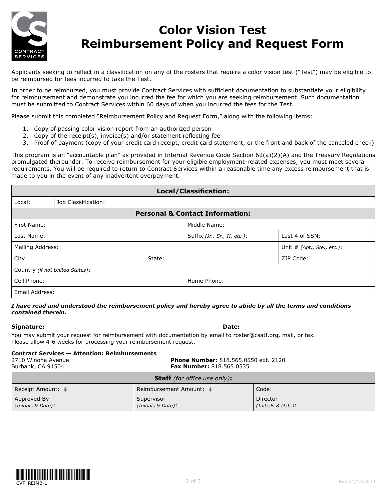

## **Color Vision Test Reimbursement Policy and Request Form**

Applicants seeking to reflect in a classification on any of the rosters that require a color vision test ("Test") may be eligible to be reimbursed for fees incurred to take the Test.

In order to be reimbursed, you must provide Contract Services with sufficient documentation to substantiate your eligibility for reimbursement and demonstrate you incurred the fee for which you are seeking reimbursement. Such documentation must be submitted to Contract Services within 60 days of when you incurred the fees for the Test.

Please submit this completed "Reimbursement Policy and Request Form," along with the following items:

- 1. Copy of passing color vision report from an authorized person
- 2. Copy of the receipt(s), invoice(s) and/or statement reflecting fee
- 3. Proof of payment (copy of your credit card receipt, credit card statement, or the front and back of the canceled check)

This program is an "accountable plan" as provided in Internal Revenue Code Section 62(a)(2)(A) and the Treasury Regulations promulgated thereunder. To receive reimbursement for your eligible employment-related expenses, you must meet several requirements. You will be required to return to Contract Services within a reasonable time any excess reimbursement that is made to you in the event of any inadvertent overpayment.

| Local/Classification:                      |                     |                                |                |                            |  |
|--------------------------------------------|---------------------|--------------------------------|----------------|----------------------------|--|
| Local:                                     | Job Classification: |                                |                |                            |  |
| <b>Personal &amp; Contact Information:</b> |                     |                                |                |                            |  |
| First Name:                                |                     | Middle Name:                   |                |                            |  |
| Last Name:                                 |                     | Suffix $(Jr., Sr., II, etc.):$ | Last 4 of SSN: |                            |  |
| Mailing Address:                           |                     |                                |                | Unit # (Apt., Ste., etc.): |  |
| City:<br>State:                            |                     |                                | ZIP Code:      |                            |  |
| Country (if not United States):            |                     |                                |                |                            |  |
| Cell Phone:                                |                     | Home Phone:                    |                |                            |  |
| Email Address:                             |                     |                                |                |                            |  |

### *I have read and understood the reimbursement policy and hereby agree to abide by all the terms and conditions contained therein.*

**Signature: Date:** 

You may submit your request for reimbursement with documentation by email to roster@csatf.org, mail, or fax. Please allow 4-6 weeks for processing your reimbursement request.

#### **Contract Services — Attention: Reimbursements**

2710 Winona Avenue **Phone Number:** 818.565.0550 ext. 2120 Burbank, CA 91504 **Fax Number:** 818.565.0535 **Staff** *(for office use only)***:**

| <b>Stall</b> ( <i>IVI UIIILE USE VIIIV</i> ): |                                  |                                |  |  |
|-----------------------------------------------|----------------------------------|--------------------------------|--|--|
| Receipt Amount: \$                            | Reimbursement Amount: \$         | Code:                          |  |  |
| Approved By<br>(Initials & Date):             | Supervisor<br>(Initials & Date): | Director<br>(Initials & Date): |  |  |